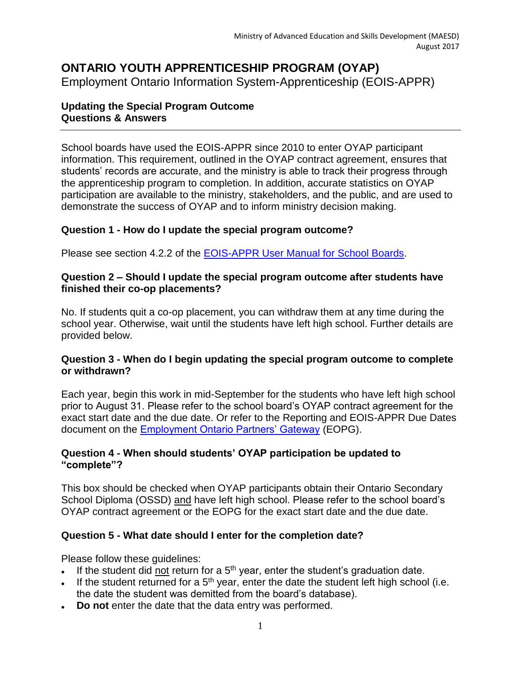# **ONTARIO YOUTH APPRENTICESHIP PROGRAM (OYAP)**

Employment Ontario Information System-Apprenticeship (EOIS-APPR)

## **Updating the Special Program Outcome Questions & Answers**

School boards have used the EOIS-APPR since 2010 to enter OYAP participant information. This requirement, outlined in the OYAP contract agreement, ensures that students' records are accurate, and the ministry is able to track their progress through the apprenticeship program to completion. In addition, accurate statistics on OYAP participation are available to the ministry, stakeholders, and the public, and are used to demonstrate the success of OYAP and to inform ministry decision making.

# **Question 1 - How do I update the special program outcome?**

Please see section 4.2.2 of the [EOIS-APPR User Manual for School Boards.](http://www.tcu.gov.on.ca/eng/eopg/eotransformation/eois-schoolboards.html)

### **Question 2 – Should I update the special program outcome after students have finished their co-op placements?**

No. If students quit a co-op placement, you can withdraw them at any time during the school year. Otherwise, wait until the students have left high school. Further details are provided below.

#### **Question 3 - When do I begin updating the special program outcome to complete or withdrawn?**

Each year, begin this work in mid-September for the students who have left high school prior to August 31. Please refer to the school board's OYAP contract agreement for the exact start date and the due date. Or refer to the Reporting and EOIS-APPR Due Dates document on the [Employment Ontario Partners' Gateway](http://www.tcu.gov.on.ca/eng/eopg/programs/oyap.html) (EOPG).

## **Question 4 - When should students' OYAP participation be updated to "complete"?**

This box should be checked when OYAP participants obtain their Ontario Secondary School Diploma (OSSD) and have left high school. Please refer to the school board's OYAP contract agreement or the EOPG for the exact start date and the due date.

# **Question 5 - What date should I enter for the completion date?**

Please follow these guidelines:

- If the student did not return for a  $5<sup>th</sup>$  year, enter the student's graduation date.
- If the student returned for a  $5<sup>th</sup>$  year, enter the date the student left high school (i.e. the date the student was demitted from the board's database).
- **Do not** enter the date that the data entry was performed.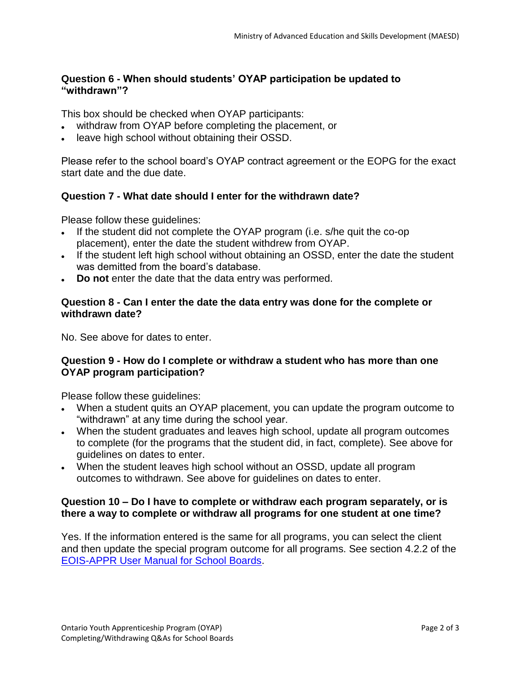## **Question 6 - When should students' OYAP participation be updated to "withdrawn"?**

This box should be checked when OYAP participants:

- withdraw from OYAP before completing the placement, or
- leave high school without obtaining their OSSD.

Please refer to the school board's OYAP contract agreement or the EOPG for the exact start date and the due date.

## **Question 7 - What date should I enter for the withdrawn date?**

Please follow these guidelines:

- If the student did not complete the OYAP program (i.e. s/he quit the co-op placement), enter the date the student withdrew from OYAP.
- If the student left high school without obtaining an OSSD, enter the date the student was demitted from the board's database.
- **Do not** enter the date that the data entry was performed.

#### **Question 8 - Can I enter the date the data entry was done for the complete or withdrawn date?**

No. See above for dates to enter.

#### **Question 9 - How do I complete or withdraw a student who has more than one OYAP program participation?**

Please follow these guidelines:

- When a student quits an OYAP placement, you can update the program outcome to "withdrawn" at any time during the school year.
- When the student graduates and leaves high school, update all program outcomes to complete (for the programs that the student did, in fact, complete). See above for guidelines on dates to enter.
- When the student leaves high school without an OSSD, update all program outcomes to withdrawn. See above for guidelines on dates to enter.

#### **Question 10 – Do I have to complete or withdraw each program separately, or is there a way to complete or withdraw all programs for one student at one time?**

Yes. If the information entered is the same for all programs, you can select the client and then update the special program outcome for all programs. See section 4.2.2 of the [EOIS-APPR User Manual for School Boards.](http://www.tcu.gov.on.ca/eng/eopg/eotransformation/eois-schoolboards.html)